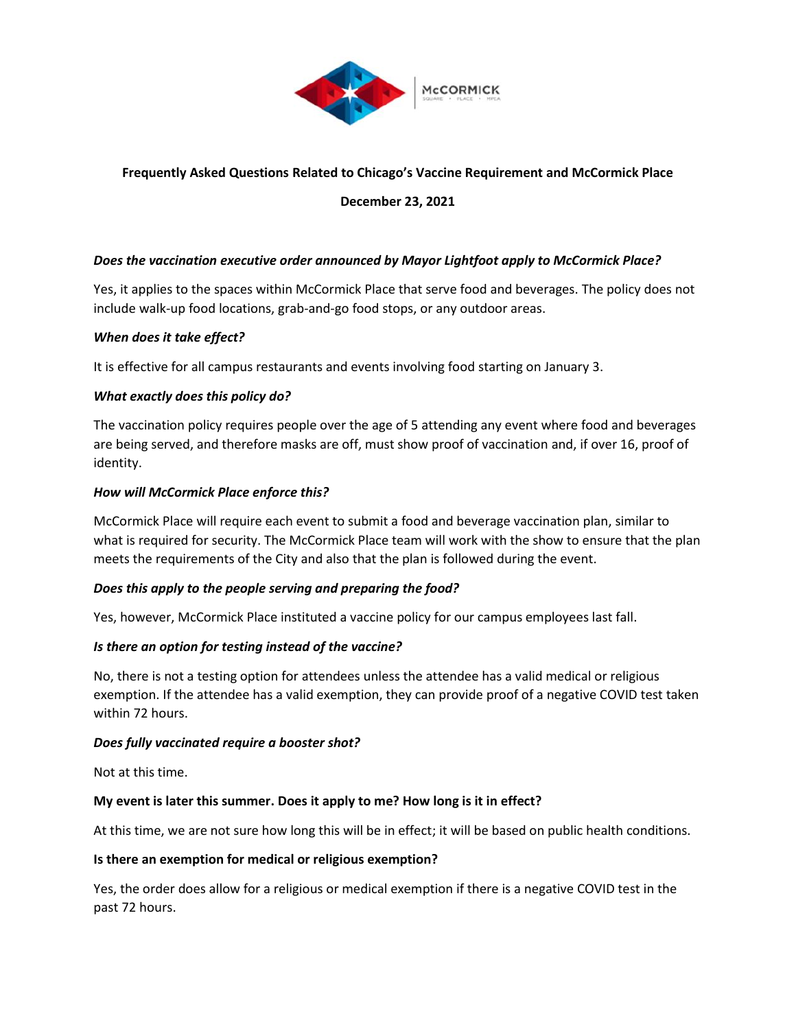

# **Frequently Asked Questions Related to Chicago's Vaccine Requirement and McCormick Place**

## **December 23, 2021**

## *Does the vaccination executive order announced by Mayor Lightfoot apply to McCormick Place?*

Yes, it applies to the spaces within McCormick Place that serve food and beverages. The policy does not include walk-up food locations, grab-and-go food stops, or any outdoor areas.

#### *When does it take effect?*

It is effective for all campus restaurants and events involving food starting on January 3.

## *What exactly does this policy do?*

The vaccination policy requires people over the age of 5 attending any event where food and beverages are being served, and therefore masks are off, must show proof of vaccination and, if over 16, proof of identity.

#### *How will McCormick Place enforce this?*

McCormick Place will require each event to submit a food and beverage vaccination plan, similar to what is required for security. The McCormick Place team will work with the show to ensure that the plan meets the requirements of the City and also that the plan is followed during the event.

#### *Does this apply to the people serving and preparing the food?*

Yes, however, McCormick Place instituted a vaccine policy for our campus employees last fall.

#### *Is there an option for testing instead of the vaccine?*

No, there is not a testing option for attendees unless the attendee has a valid medical or religious exemption. If the attendee has a valid exemption, they can provide proof of a negative COVID test taken within 72 hours.

#### *Does fully vaccinated require a booster shot?*

Not at this time.

#### **My event is later this summer. Does it apply to me? How long is it in effect?**

At this time, we are not sure how long this will be in effect; it will be based on public health conditions.

#### **Is there an exemption for medical or religious exemption?**

Yes, the order does allow for a religious or medical exemption if there is a negative COVID test in the past 72 hours.